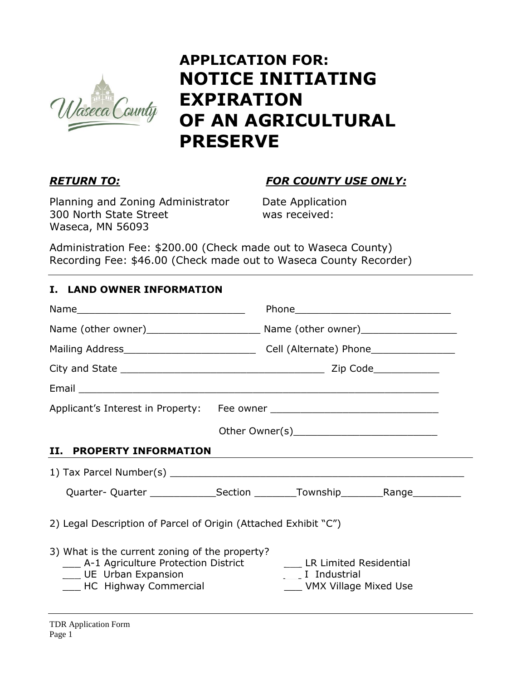

# **APPLICATION FOR: NOTICE INITIATING EXPIRATION OF AN AGRICULTURAL PRESERVE**

# *RETURN TO: FOR COUNTY USE ONLY:*

Planning and Zoning Administrator Date Application 300 North State Street was received: Waseca, MN 56093

Administration Fee: \$200.00 (Check made out to Waseca County) Recording Fee: \$46.00 (Check made out to Waseca County Recorder)

### **I. LAND OWNER INFORMATION**

| <b>II. PROPERTY INFORMATION</b>                                                                                                             |                                                                                  |
|---------------------------------------------------------------------------------------------------------------------------------------------|----------------------------------------------------------------------------------|
|                                                                                                                                             |                                                                                  |
|                                                                                                                                             | Quarter- Quarter _________________Section __________Township____________________ |
| 2) Legal Description of Parcel of Origin (Attached Exhibit "C")                                                                             |                                                                                  |
| 3) What is the current zoning of the property?<br>___ A-1 Agriculture Protection District<br>UE Urban Expansion<br>__ HC Highway Commercial | ___ LR Limited Residential<br>____ I Industrial<br>____ VMX Village Mixed Use    |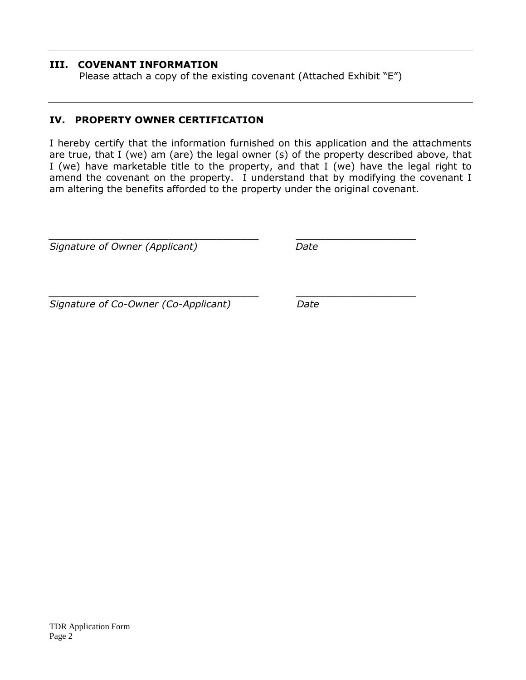#### **III. COVENANT INFORMATION**

Please attach a copy of the existing covenant (Attached Exhibit "E")

*\_\_\_\_\_\_\_\_\_\_\_\_\_\_\_\_\_\_\_\_\_\_\_\_\_\_\_\_\_\_\_\_\_\_\_ \_\_\_\_\_\_\_\_\_\_\_\_\_\_\_\_\_\_\_\_*

#### **IV. PROPERTY OWNER CERTIFICATION**

I hereby certify that the information furnished on this application and the attachments are true, that I (we) am (are) the legal owner (s) of the property described above, that I (we) have marketable title to the property, and that I (we) have the legal right to amend the covenant on the property. I understand that by modifying the covenant I am altering the benefits afforded to the property under the original covenant.

*\_\_\_\_\_\_\_\_\_\_\_\_\_\_\_\_\_\_\_\_\_\_\_\_\_\_\_\_\_\_\_\_\_\_\_ \_\_\_\_\_\_\_\_\_\_\_\_\_\_\_\_\_\_\_\_ Signature of Owner (Applicant) Date*

*Signature of Co-Owner (Co-Applicant) Date*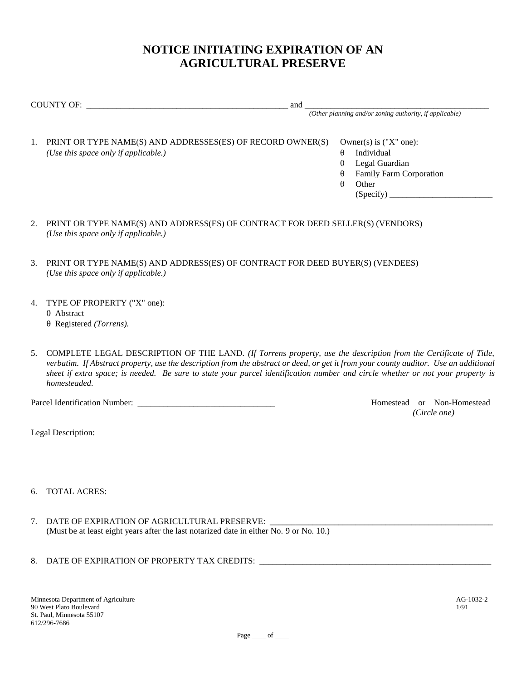## **NOTICE INITIATING EXPIRATION OF AN AGRICULTURAL PRESERVE**

COUNTY OF: \_\_\_\_\_\_\_\_\_\_\_\_\_\_\_\_\_\_\_\_\_\_\_\_\_\_\_\_\_\_\_\_\_\_\_\_\_\_\_\_\_\_\_\_\_\_\_ and \_\_\_\_\_\_\_\_\_\_\_\_\_\_\_\_\_\_\_\_\_\_\_\_\_\_\_\_\_\_\_\_\_\_\_\_\_\_\_\_\_\_\_

*(Other planning and/or zoning authority, if applicable)*

- 1. PRINT OR TYPE NAME(S) AND ADDRESSES(ES) OF RECORD OWNER(S) Owner(s) is ("X" one): *(Use this space only if applicable.)*  $\theta$  Individual
	-
	- $\theta$  Legal Guardian
	- Family Farm Corporation
	- $\theta$  Other
		- (Specify) \_\_\_\_\_\_\_\_\_\_\_\_\_\_\_\_\_\_\_\_\_\_\_\_
- 2. PRINT OR TYPE NAME(S) AND ADDRESS(ES) OF CONTRACT FOR DEED SELLER(S) (VENDORS) *(Use this space only if applicable.)*
- 3. PRINT OR TYPE NAME(S) AND ADDRESS(ES) OF CONTRACT FOR DEED BUYER(S) (VENDEES) *(Use this space only if applicable.)*
- 4. TYPE OF PROPERTY ("X" one):  $\theta$  Abstract Registered *(Torrens).*
- 5. COMPLETE LEGAL DESCRIPTION OF THE LAND. *(If Torrens property, use the description from the Certificate of Title, verbatim. If Abstract property, use the description from the abstract or deed, or get it from your county auditor. Use an additional sheet if extra space; is needed. Be sure to state your parcel identification number and circle whether or not your property is homesteaded.*

Parcel Identification Number: \_\_\_\_\_\_\_\_\_\_\_\_\_\_\_\_\_\_\_\_\_\_\_\_\_\_\_\_\_\_\_\_ Homestead or Non-Homestead

*(Circle one)*

Legal Description:

- 6. TOTAL ACRES:
- 7. DATE OF EXPIRATION OF AGRICULTURAL PRESERVE: (Must be at least eight years after the last notarized date in either No. 9 or No. 10.)
- 8. DATE OF EXPIRATION OF PROPERTY TAX CREDITS: \_\_\_\_\_\_\_\_\_\_\_\_\_\_\_\_\_\_\_\_\_\_\_\_\_\_\_\_\_\_\_\_\_\_

Page \_\_\_\_ of \_\_\_\_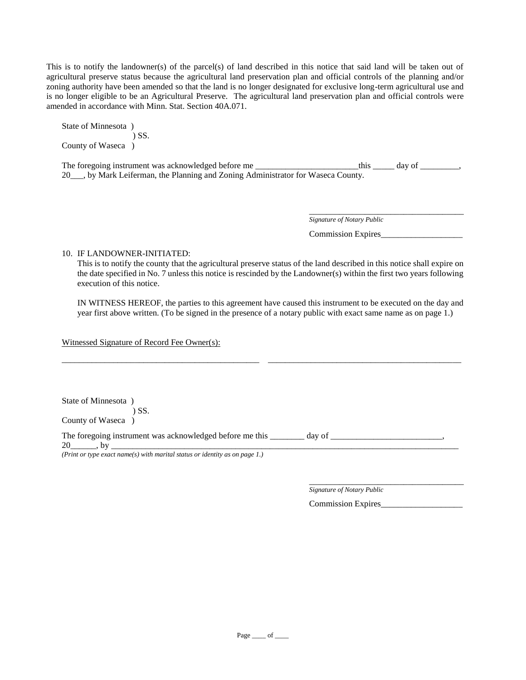This is to notify the landowner(s) of the parcel(s) of land described in this notice that said land will be taken out of agricultural preserve status because the agricultural land preservation plan and official controls of the planning and/or zoning authority have been amended so that the land is no longer designated for exclusive long-term agricultural use and is no longer eligible to be an Agricultural Preserve. The agricultural land preservation plan and official controls were amended in accordance with Minn. Stat. Section 40A.071.

State of Minnesota ) ) SS. County of Waseca )

The foregoing instrument was acknowledged before me \_\_\_\_\_\_\_\_\_\_\_\_\_\_\_\_\_\_\_\_\_this \_\_\_\_\_\_ day of \_\_\_\_\_\_\_, 20\_\_\_, by Mark Leiferman, the Planning and Zoning Administrator for Waseca County.

*Signature of Notary Public*

Commission Expires\_\_\_\_\_\_\_\_\_\_\_\_\_\_\_\_\_\_\_

\_\_\_\_\_\_\_\_\_\_\_\_\_\_\_\_\_\_\_\_\_\_\_\_\_\_\_\_\_\_\_\_\_\_\_\_

10. IF LANDOWNER-INITIATED:

This is to notify the county that the agricultural preserve status of the land described in this notice shall expire on the date specified in No. 7 unless this notice is rescinded by the Landowner(s) within the first two years following execution of this notice.

IN WITNESS HEREOF, the parties to this agreement have caused this instrument to be executed on the day and year first above written. (To be signed in the presence of a notary public with exact same name as on page 1.)

\_\_\_\_\_\_\_\_\_\_\_\_\_\_\_\_\_\_\_\_\_\_\_\_\_\_\_\_\_\_\_\_\_\_\_\_\_\_\_\_\_\_\_\_\_\_ \_\_\_\_\_\_\_\_\_\_\_\_\_\_\_\_\_\_\_\_\_\_\_\_\_\_\_\_\_\_\_\_\_\_\_\_\_\_\_\_\_\_\_\_\_

Witnessed Signature of Record Fee Owner(s):

State of Minnesota )

 ) SS. County of Waseca )

The foregoing instrument was acknowledged before me this \_\_\_\_\_\_\_\_ day of \_\_\_\_\_\_\_\_\_\_\_\_\_\_\_\_\_\_\_\_\_\_\_\_\_\_, 20\_\_\_\_\_\_, by \_\_\_\_\_\_\_\_\_\_\_\_\_\_\_\_\_\_\_\_\_\_\_\_\_\_\_\_\_\_\_\_\_\_\_\_\_\_\_\_\_\_\_\_\_\_\_\_\_\_\_\_\_\_\_\_\_\_\_\_\_\_\_\_\_\_\_\_\_\_\_\_\_\_\_\_\_\_\_\_\_

*(Print or type exact name(s) with marital status or identity as on page 1.)*

\_\_\_\_\_\_\_\_\_\_\_\_\_\_\_\_\_\_\_\_\_\_\_\_\_\_\_\_\_\_\_\_\_\_\_\_ *Signature of Notary Public*

Commission Expires\_\_\_\_\_\_\_\_\_\_\_\_\_\_\_\_\_\_\_